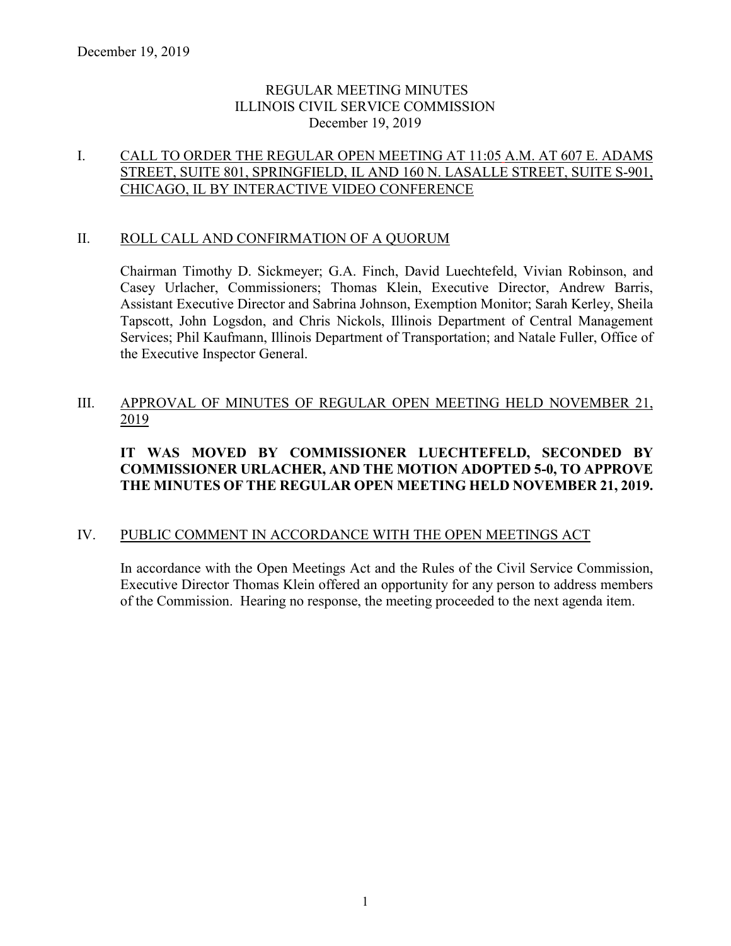### REGULAR MEETING MINUTES ILLINOIS CIVIL SERVICE COMMISSION December 19, 2019

## I. CALL TO ORDER THE REGULAR OPEN MEETING AT 11:05 A.M. AT 607 E. ADAMS STREET, SUITE 801, SPRINGFIELD, IL AND 160 N. LASALLE STREET, SUITE S-901, CHICAGO, IL BY INTERACTIVE VIDEO CONFERENCE

#### II. ROLL CALL AND CONFIRMATION OF A QUORUM

Chairman Timothy D. Sickmeyer; G.A. Finch, David Luechtefeld, Vivian Robinson, and Casey Urlacher, Commissioners; Thomas Klein, Executive Director, Andrew Barris, Assistant Executive Director and Sabrina Johnson, Exemption Monitor; Sarah Kerley, Sheila Tapscott, John Logsdon, and Chris Nickols, Illinois Department of Central Management Services; Phil Kaufmann, Illinois Department of Transportation; and Natale Fuller, Office of the Executive Inspector General.

# III. APPROVAL OF MINUTES OF REGULAR OPEN MEETING HELD NOVEMBER 21, 2019

# **IT WAS MOVED BY COMMISSIONER LUECHTEFELD, SECONDED BY COMMISSIONER URLACHER, AND THE MOTION ADOPTED 5-0, TO APPROVE THE MINUTES OF THE REGULAR OPEN MEETING HELD NOVEMBER 21, 2019.**

### IV. PUBLIC COMMENT IN ACCORDANCE WITH THE OPEN MEETINGS ACT

In accordance with the Open Meetings Act and the Rules of the Civil Service Commission, Executive Director Thomas Klein offered an opportunity for any person to address members of the Commission. Hearing no response, the meeting proceeded to the next agenda item.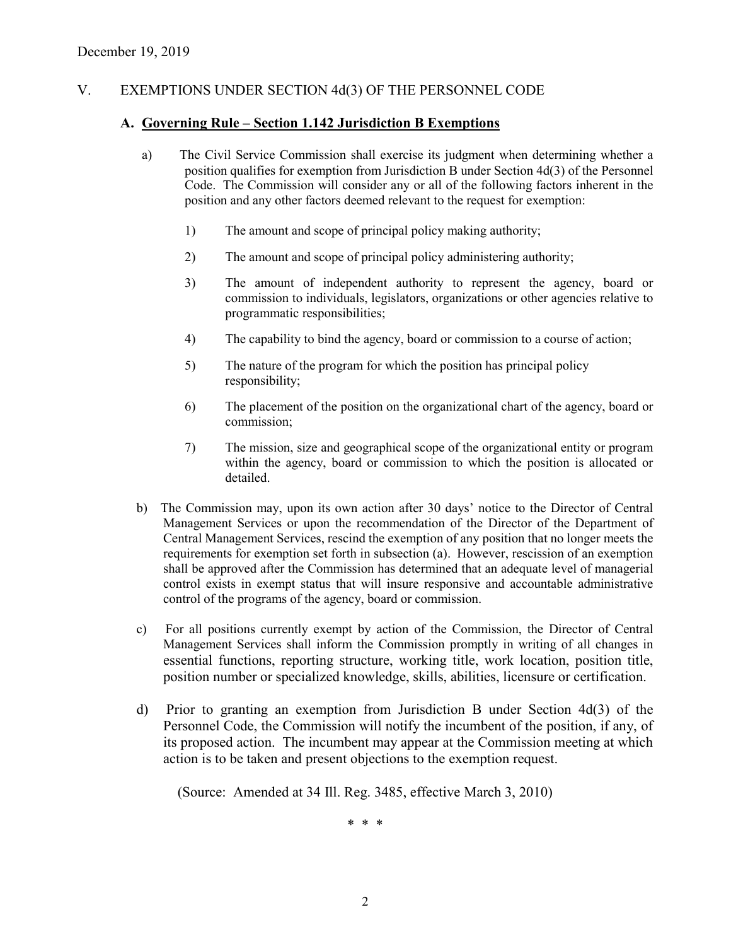### V. EXEMPTIONS UNDER SECTION 4d(3) OF THE PERSONNEL CODE

#### **A. Governing Rule – Section 1.142 Jurisdiction B Exemptions**

- a) The Civil Service Commission shall exercise its judgment when determining whether a position qualifies for exemption from Jurisdiction B under Section 4d(3) of the Personnel Code. The Commission will consider any or all of the following factors inherent in the position and any other factors deemed relevant to the request for exemption:
	- 1) The amount and scope of principal policy making authority;
	- 2) The amount and scope of principal policy administering authority;
	- 3) The amount of independent authority to represent the agency, board or commission to individuals, legislators, organizations or other agencies relative to programmatic responsibilities;
	- 4) The capability to bind the agency, board or commission to a course of action;
	- 5) The nature of the program for which the position has principal policy responsibility;
	- 6) The placement of the position on the organizational chart of the agency, board or commission;
	- 7) The mission, size and geographical scope of the organizational entity or program within the agency, board or commission to which the position is allocated or detailed.
- b) The Commission may, upon its own action after 30 days' notice to the Director of Central Management Services or upon the recommendation of the Director of the Department of Central Management Services, rescind the exemption of any position that no longer meets the requirements for exemption set forth in subsection (a). However, rescission of an exemption shall be approved after the Commission has determined that an adequate level of managerial control exists in exempt status that will insure responsive and accountable administrative control of the programs of the agency, board or commission.
- c) For all positions currently exempt by action of the Commission, the Director of Central Management Services shall inform the Commission promptly in writing of all changes in essential functions, reporting structure, working title, work location, position title, position number or specialized knowledge, skills, abilities, licensure or certification.
- d) Prior to granting an exemption from Jurisdiction B under Section 4d(3) of the Personnel Code, the Commission will notify the incumbent of the position, if any, of its proposed action. The incumbent may appear at the Commission meeting at which action is to be taken and present objections to the exemption request.

(Source: Amended at 34 Ill. Reg. 3485, effective March 3, 2010)

\* \* \*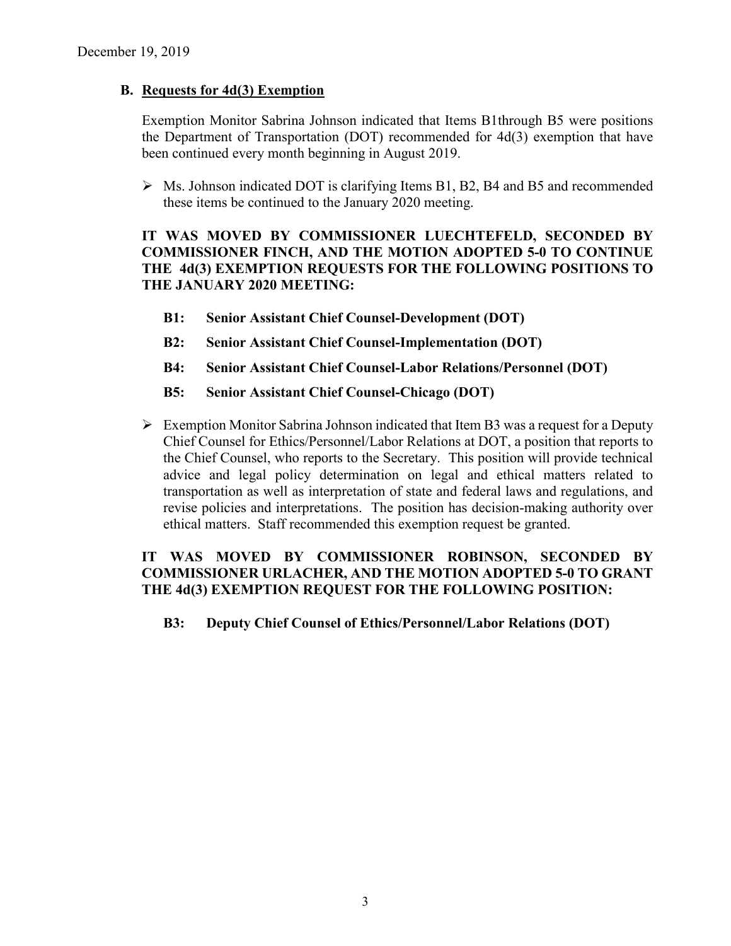#### **B. Requests for 4d(3) Exemption**

Exemption Monitor Sabrina Johnson indicated that Items B1through B5 were positions the Department of Transportation (DOT) recommended for 4d(3) exemption that have been continued every month beginning in August 2019.

 $\triangleright$  Ms. Johnson indicated DOT is clarifying Items B1, B2, B4 and B5 and recommended these items be continued to the January 2020 meeting.

### **IT WAS MOVED BY COMMISSIONER LUECHTEFELD, SECONDED BY COMMISSIONER FINCH, AND THE MOTION ADOPTED 5-0 TO CONTINUE THE 4d(3) EXEMPTION REQUESTS FOR THE FOLLOWING POSITIONS TO THE JANUARY 2020 MEETING:**

- **B1: Senior Assistant Chief Counsel-Development (DOT)**
- **B2: Senior Assistant Chief Counsel-Implementation (DOT)**
- **B4: Senior Assistant Chief Counsel-Labor Relations/Personnel (DOT)**
- **B5: Senior Assistant Chief Counsel-Chicago (DOT)**
- $\triangleright$  Exemption Monitor Sabrina Johnson indicated that Item B3 was a request for a Deputy Chief Counsel for Ethics/Personnel/Labor Relations at DOT, a position that reports to the Chief Counsel, who reports to the Secretary. This position will provide technical advice and legal policy determination on legal and ethical matters related to transportation as well as interpretation of state and federal laws and regulations, and revise policies and interpretations. The position has decision-making authority over ethical matters. Staff recommended this exemption request be granted.

# **IT WAS MOVED BY COMMISSIONER ROBINSON, SECONDED BY COMMISSIONER URLACHER, AND THE MOTION ADOPTED 5-0 TO GRANT THE 4d(3) EXEMPTION REQUEST FOR THE FOLLOWING POSITION:**

**B3: Deputy Chief Counsel of Ethics/Personnel/Labor Relations (DOT)**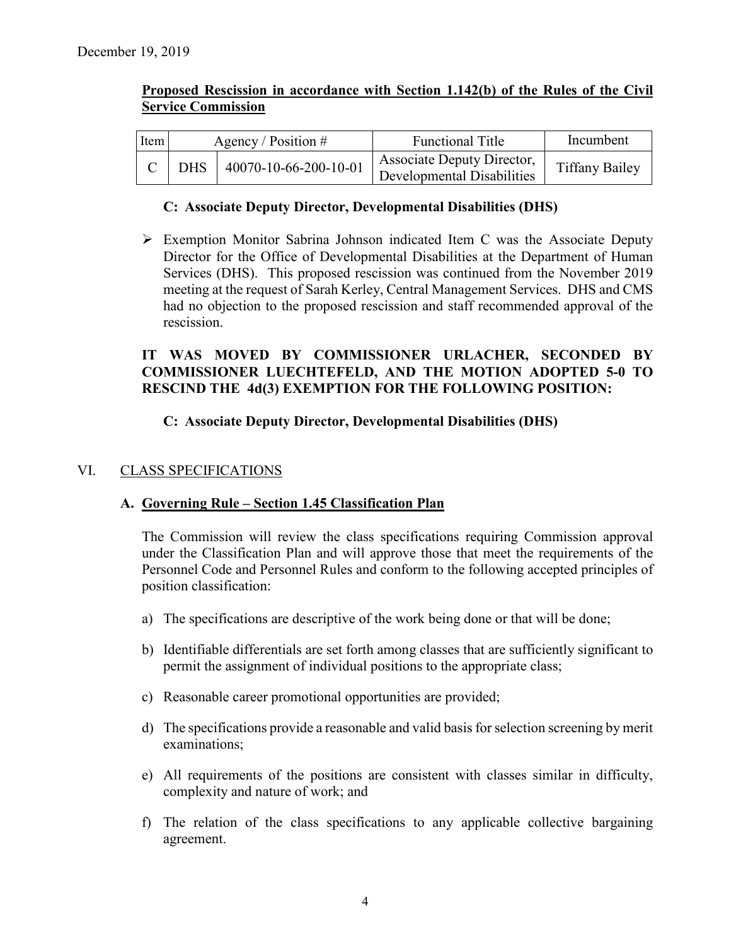| Item |            | <b>Functional Title</b><br>Agency / Position $#$ |                                                          | Incumbent             |
|------|------------|--------------------------------------------------|----------------------------------------------------------|-----------------------|
|      | <b>DHS</b> | 40070-10-66-200-10-01                            | Associate Deputy Director,<br>Developmental Disabilities | <b>Tiffany Bailey</b> |

#### **Proposed Rescission in accordance with Section 1.142(b) of the Rules of the Civil Service Commission**

#### **C: Associate Deputy Director, Developmental Disabilities (DHS)**

 Exemption Monitor Sabrina Johnson indicated Item C was the Associate Deputy Director for the Office of Developmental Disabilities at the Department of Human Services (DHS). This proposed rescission was continued from the November 2019 meeting at the request of Sarah Kerley, Central Management Services. DHS and CMS had no objection to the proposed rescission and staff recommended approval of the rescission.

# **IT WAS MOVED BY COMMISSIONER URLACHER, SECONDED BY COMMISSIONER LUECHTEFELD, AND THE MOTION ADOPTED 5-0 TO RESCIND THE 4d(3) EXEMPTION FOR THE FOLLOWING POSITION:**

### **C: Associate Deputy Director, Developmental Disabilities (DHS)**

#### VI. CLASS SPECIFICATIONS

#### **A. Governing Rule – Section 1.45 Classification Plan**

The Commission will review the class specifications requiring Commission approval under the Classification Plan and will approve those that meet the requirements of the Personnel Code and Personnel Rules and conform to the following accepted principles of position classification:

- a) The specifications are descriptive of the work being done or that will be done;
- b) Identifiable differentials are set forth among classes that are sufficiently significant to permit the assignment of individual positions to the appropriate class;
- c) Reasonable career promotional opportunities are provided;
- d) The specifications provide a reasonable and valid basis for selection screening by merit examinations;
- e) All requirements of the positions are consistent with classes similar in difficulty, complexity and nature of work; and
- f) The relation of the class specifications to any applicable collective bargaining agreement.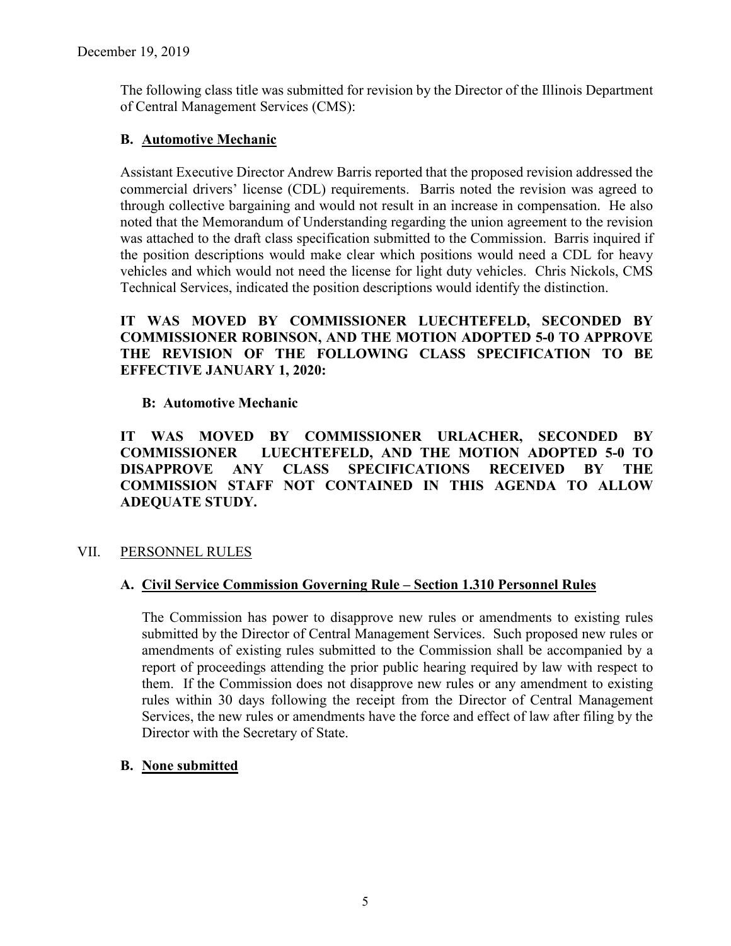The following class title was submitted for revision by the Director of the Illinois Department of Central Management Services (CMS):

# **B. Automotive Mechanic**

Assistant Executive Director Andrew Barris reported that the proposed revision addressed the commercial drivers' license (CDL) requirements. Barris noted the revision was agreed to through collective bargaining and would not result in an increase in compensation. He also noted that the Memorandum of Understanding regarding the union agreement to the revision was attached to the draft class specification submitted to the Commission. Barris inquired if the position descriptions would make clear which positions would need a CDL for heavy vehicles and which would not need the license for light duty vehicles. Chris Nickols, CMS Technical Services, indicated the position descriptions would identify the distinction.

# **IT WAS MOVED BY COMMISSIONER LUECHTEFELD, SECONDED BY COMMISSIONER ROBINSON, AND THE MOTION ADOPTED 5-0 TO APPROVE THE REVISION OF THE FOLLOWING CLASS SPECIFICATION TO BE EFFECTIVE JANUARY 1, 2020:**

### **B: Automotive Mechanic**

**IT WAS MOVED BY COMMISSIONER URLACHER, SECONDED BY COMMISSIONER LUECHTEFELD, AND THE MOTION ADOPTED 5-0 TO DISAPPROVE ANY CLASS SPECIFICATIONS RECEIVED BY THE COMMISSION STAFF NOT CONTAINED IN THIS AGENDA TO ALLOW ADEQUATE STUDY.** 

# VII. PERSONNEL RULES

### **A. Civil Service Commission Governing Rule – Section 1.310 Personnel Rules**

The Commission has power to disapprove new rules or amendments to existing rules submitted by the Director of Central Management Services. Such proposed new rules or amendments of existing rules submitted to the Commission shall be accompanied by a report of proceedings attending the prior public hearing required by law with respect to them. If the Commission does not disapprove new rules or any amendment to existing rules within 30 days following the receipt from the Director of Central Management Services, the new rules or amendments have the force and effect of law after filing by the Director with the Secretary of State.

### **B. None submitted**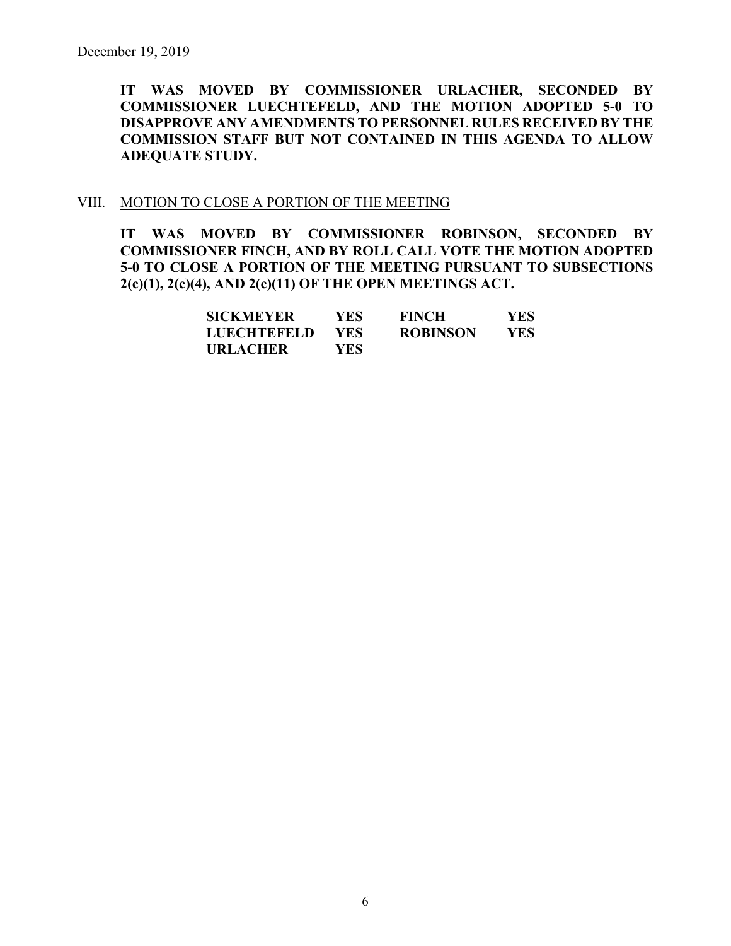**IT WAS MOVED BY COMMISSIONER URLACHER, SECONDED BY COMMISSIONER LUECHTEFELD, AND THE MOTION ADOPTED 5-0 TO DISAPPROVE ANY AMENDMENTS TO PERSONNEL RULES RECEIVED BY THE COMMISSION STAFF BUT NOT CONTAINED IN THIS AGENDA TO ALLOW ADEQUATE STUDY.** 

#### VIII. MOTION TO CLOSE A PORTION OF THE MEETING

**IT WAS MOVED BY COMMISSIONER ROBINSON, SECONDED BY COMMISSIONER FINCH, AND BY ROLL CALL VOTE THE MOTION ADOPTED 5-0 TO CLOSE A PORTION OF THE MEETING PURSUANT TO SUBSECTIONS 2(c)(1), 2(c)(4), AND 2(c)(11) OF THE OPEN MEETINGS ACT.**

| <b>SICKMEYER</b>   | YES.       | <b>FINCH</b>    | YES |
|--------------------|------------|-----------------|-----|
| <b>LUECHTEFELD</b> | <b>YES</b> | <b>ROBINSON</b> | YES |
| <b>URLACHER</b>    | YES.       |                 |     |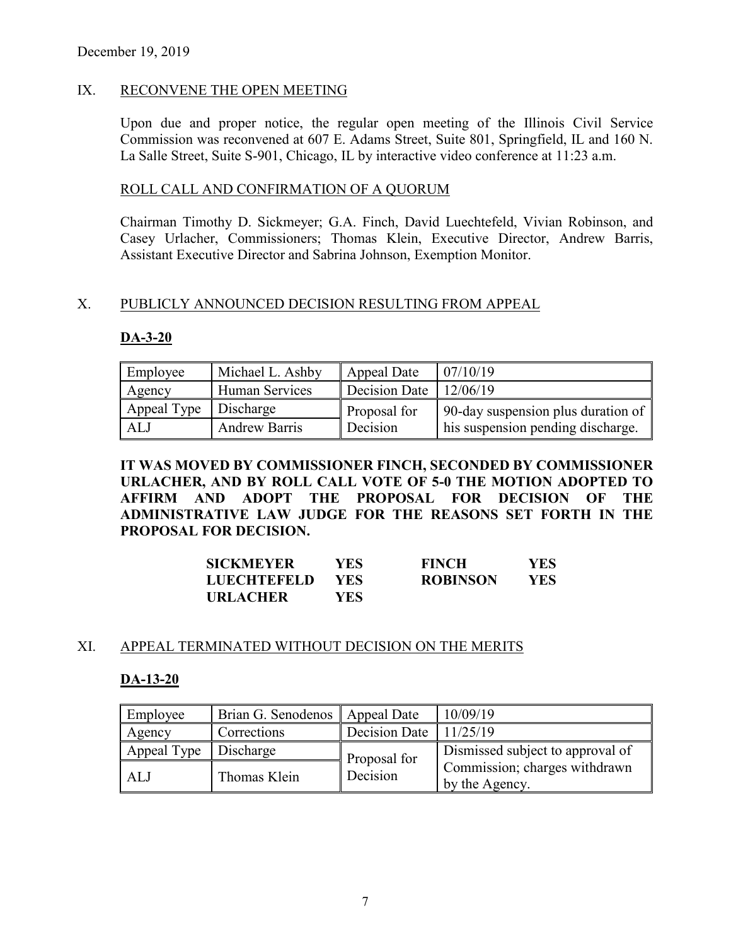#### IX. RECONVENE THE OPEN MEETING

Upon due and proper notice, the regular open meeting of the Illinois Civil Service Commission was reconvened at 607 E. Adams Street, Suite 801, Springfield, IL and 160 N. La Salle Street, Suite S-901, Chicago, IL by interactive video conference at 11:23 a.m.

#### ROLL CALL AND CONFIRMATION OF A QUORUM

Chairman Timothy D. Sickmeyer; G.A. Finch, David Luechtefeld, Vivian Robinson, and Casey Urlacher, Commissioners; Thomas Klein, Executive Director, Andrew Barris, Assistant Executive Director and Sabrina Johnson, Exemption Monitor.

#### X. PUBLICLY ANNOUNCED DECISION RESULTING FROM APPEAL

#### **DA-3-20**

| Employee                | Michael L. Ashby     | Appeal Date                    | 07/10/19                           |
|-------------------------|----------------------|--------------------------------|------------------------------------|
| Agency                  | Human Services       | Decision Date $\vert$ 12/06/19 |                                    |
| Appeal Type   Discharge |                      | Proposal for                   | 90-day suspension plus duration of |
| ALJ                     | <b>Andrew Barris</b> | Decision                       | his suspension pending discharge.  |

**IT WAS MOVED BY COMMISSIONER FINCH, SECONDED BY COMMISSIONER URLACHER, AND BY ROLL CALL VOTE OF 5-0 THE MOTION ADOPTED TO AFFIRM AND ADOPT THE PROPOSAL FOR DECISION OF THE ADMINISTRATIVE LAW JUDGE FOR THE REASONS SET FORTH IN THE PROPOSAL FOR DECISION.**

| <b>SICKMEYER</b>   | YES- | <b>FINCH</b>    | YES  |
|--------------------|------|-----------------|------|
| <b>LUECHTEFELD</b> | YES. | <b>ROBINSON</b> | YES. |
| <b>URLACHER</b>    | YES  |                 |      |

#### XI. APPEAL TERMINATED WITHOUT DECISION ON THE MERITS

#### **DA-13-20**

| Employee    | Brian G. Senodenos   Appeal Date |               | 10/09/19                                        |
|-------------|----------------------------------|---------------|-------------------------------------------------|
| Agency      | Corrections                      | Decision Date | 11/25/19                                        |
| Appeal Type | Discharge                        | Proposal for  | Dismissed subject to approval of                |
| ALJ         | Thomas Klein                     | Decision      | Commission; charges withdrawn<br>by the Agency. |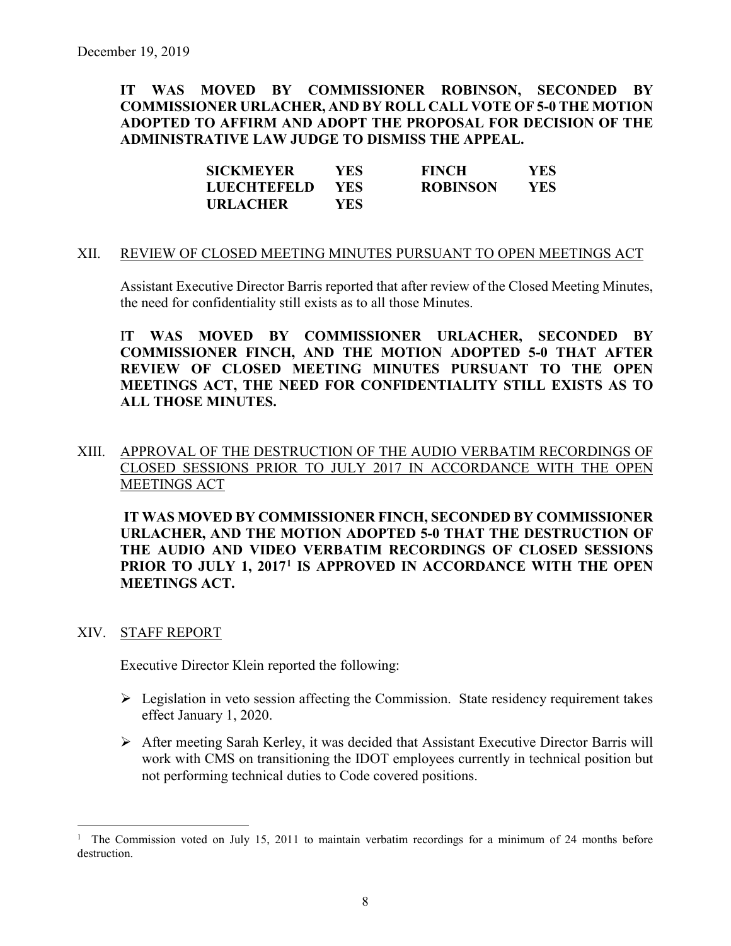**IT WAS MOVED BY COMMISSIONER ROBINSON, SECONDED BY COMMISSIONER URLACHER, AND BY ROLL CALL VOTE OF 5-0 THE MOTION ADOPTED TO AFFIRM AND ADOPT THE PROPOSAL FOR DECISION OF THE ADMINISTRATIVE LAW JUDGE TO DISMISS THE APPEAL.**

| <b>SICKMEYER</b>   | YES. | <b>FINCH</b>    | YES. |
|--------------------|------|-----------------|------|
| <b>LUECHTEFELD</b> | YES. | <b>ROBINSON</b> | YES  |
| <b>URLACHER</b>    | YES. |                 |      |

#### XII. REVIEW OF CLOSED MEETING MINUTES PURSUANT TO OPEN MEETINGS ACT

Assistant Executive Director Barris reported that after review of the Closed Meeting Minutes, the need for confidentiality still exists as to all those Minutes.

I**T WAS MOVED BY COMMISSIONER URLACHER, SECONDED BY COMMISSIONER FINCH, AND THE MOTION ADOPTED 5-0 THAT AFTER REVIEW OF CLOSED MEETING MINUTES PURSUANT TO THE OPEN MEETINGS ACT, THE NEED FOR CONFIDENTIALITY STILL EXISTS AS TO ALL THOSE MINUTES.**

# XIII. APPROVAL OF THE DESTRUCTION OF THE AUDIO VERBATIM RECORDINGS OF CLOSED SESSIONS PRIOR TO JULY 2017 IN ACCORDANCE WITH THE OPEN MEETINGS ACT

**IT WAS MOVED BY COMMISSIONER FINCH, SECONDED BY COMMISSIONER URLACHER, AND THE MOTION ADOPTED 5-0 THAT THE DESTRUCTION OF THE AUDIO AND VIDEO VERBATIM RECORDINGS OF CLOSED SESSIONS PRIOR TO JULY 1, 2017[1](#page-7-0) IS APPROVED IN ACCORDANCE WITH THE OPEN MEETINGS ACT.**

#### XIV. STAFF REPORT

Executive Director Klein reported the following:

- $\triangleright$  Legislation in veto session affecting the Commission. State residency requirement takes effect January 1, 2020.
- After meeting Sarah Kerley, it was decided that Assistant Executive Director Barris will work with CMS on transitioning the IDOT employees currently in technical position but not performing technical duties to Code covered positions.

<span id="page-7-0"></span><sup>|&</sup>lt;br>|<br>| <sup>1</sup> The Commission voted on July 15, 2011 to maintain verbatim recordings for a minimum of 24 months before destruction.